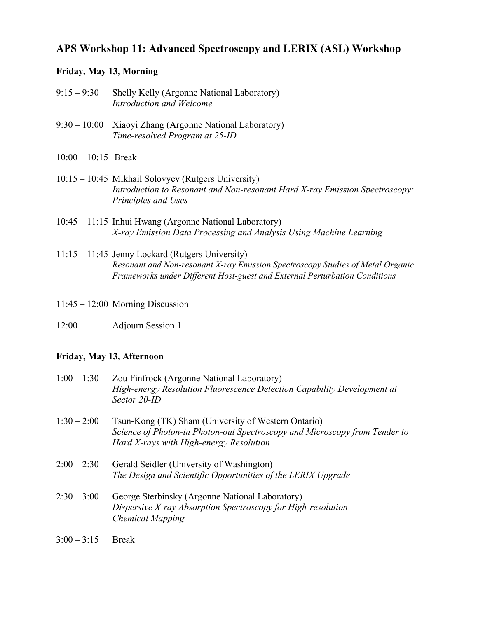## **APS Workshop 11: Advanced Spectroscopy and LERIX (ASL) Workshop**

## **Friday, May 13, Morning**

- 9:15 9:30 Shelly Kelly (Argonne National Laboratory) *Introduction and Welcome*
- 9:30 10:00 Xiaoyi Zhang (Argonne National Laboratory) *Time-resolved Program at 25-ID*
- 10:00 10:15 Break
- 10:15 10:45 Mikhail Solovyev (Rutgers University) *Introduction to Resonant and Non-resonant Hard X-ray Emission Spectroscopy: Principles and Uses*
- 10:45 11:15 Inhui Hwang (Argonne National Laboratory) *X-ray Emission Data Processing and Analysis Using Machine Learning*
- 11:15 11:45 Jenny Lockard (Rutgers University) *Resonant and Non-resonant X-ray Emission Spectroscopy Studies of Metal Organic Frameworks under Different Host-guest and External Perturbation Conditions*
- 11:45 12:00 Morning Discussion
- 12:00 Adjourn Session 1

## **Friday, May 13, Afternoon**

| $1:00 - 1:30$ | Zou Finfrock (Argonne National Laboratory)                              |
|---------------|-------------------------------------------------------------------------|
|               | High-energy Resolution Fluorescence Detection Capability Development at |
|               | Sector 20-ID                                                            |
|               |                                                                         |

- 1:30 2:00 Tsun-Kong (TK) Sham (University of Western Ontario) *Science of Photon-in Photon-out Spectroscopy and Microscopy from Tender to Hard X-rays with High-energy Resolution*
- $2:00 2:30$  Gerald Seidler (University of Washington) *The Design and Scientific Opportunities of the LERIX Upgrade*
- 2:30 3:00 George Sterbinsky (Argonne National Laboratory) *Dispersive X-ray Absorption Spectroscopy for High-resolution Chemical Mapping*
- $3:00 3:15$  Break